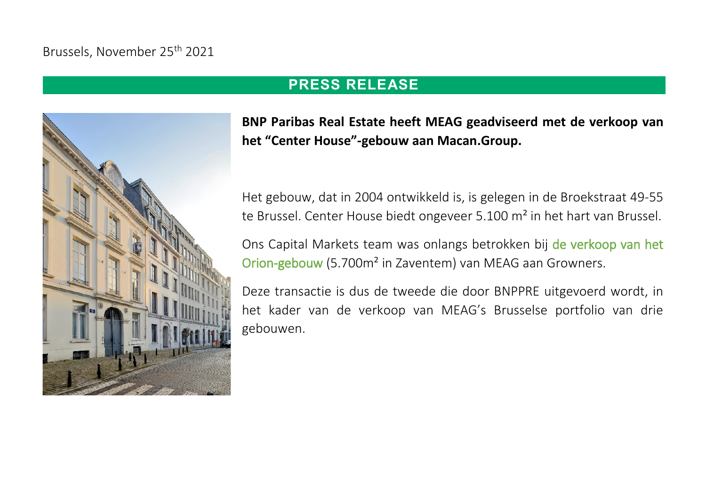## Brussels, November 25th 2021



## **PRESS RELEASE**

**BNP Paribas Real Estate heeft MEAG geadviseerd met de verkoop van het "Center House"-gebouw aan Macan.Group.** 

Het gebouw, dat in 2004 ontwikkeld is, is gelegen in de Broekstraat 49-55 te Brussel. Center House biedt ongeveer 5.100 m<sup>2</sup> in het hart van Brussel.

Ons Capital Markets team was onlangs betrokken bij [de verkoop van het](https://www.realestate.bnpparibas.be/nl/pers/bnp-paribas-real-estate-adviseerde-meag-bij-de-verkoop-van-het-orion-gebouw-aan-growners)  [Orion-gebouw](https://www.realestate.bnpparibas.be/nl/pers/bnp-paribas-real-estate-adviseerde-meag-bij-de-verkoop-van-het-orion-gebouw-aan-growners) (5.700m² in Zaventem) van MEAG aan Growners.

Deze transactie is dus de tweede die door BNPPRE uitgevoerd wordt, in het kader van de verkoop van MEAG's Brusselse portfolio van drie gebouwen.